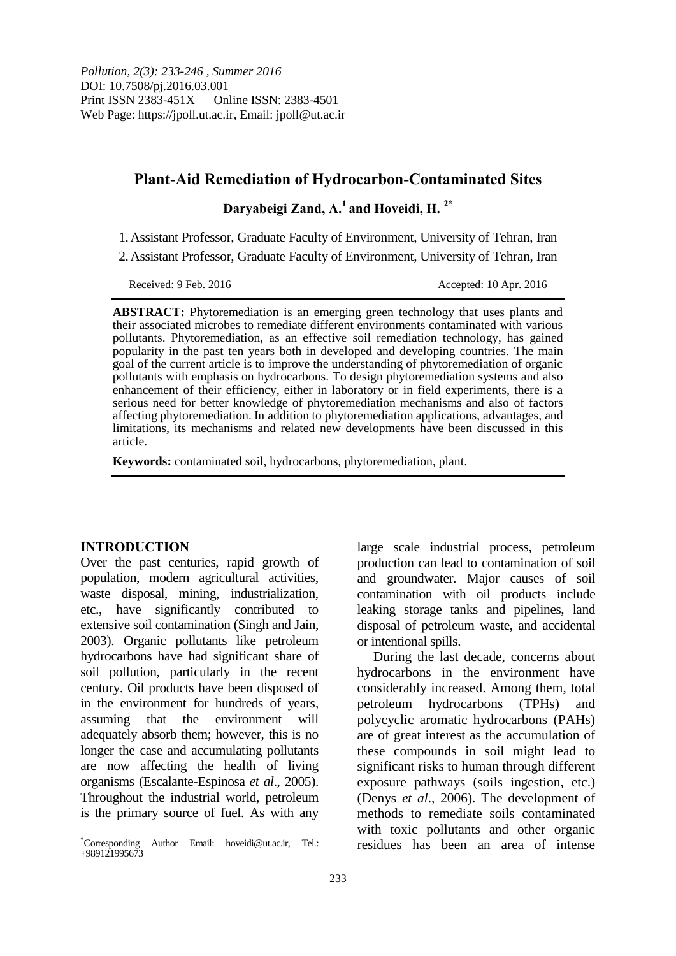# **Plant-Aid Remediation of Hydrocarbon-Contaminated Sites**

**Daryabeigi Zand, A.<sup>1</sup> and Hoveidi, H. 2\***

1.Assistant Professor, Graduate Faculty of Environment, University of Tehran, Iran

2.Assistant Professor, Graduate Faculty of Environment, University of Tehran, Iran

Received: 9 Feb. 2016 Accepted: 10 Apr. 2016

**ABSTRACT:** Phytoremediation is an emerging green technology that uses plants and their associated microbes to remediate different environments contaminated with various pollutants. Phytoremediation, as an effective soil remediation technology, has gained popularity in the past ten years both in developed and developing countries. The main goal of the current article is to improve the understanding of phytoremediation of organic pollutants with emphasis on hydrocarbons. To design phytoremediation systems and also enhancement of their efficiency, either in laboratory or in field experiments, there is a serious need for better knowledge of phytoremediation mechanisms and also of factors affecting phytoremediation. In addition to phytoremediation applications, advantages, and limitations, its mechanisms and related new developments have been discussed in this article.

**Keywords:** contaminated soil, hydrocarbons, phytoremediation, plant.

#### **INTRODUCTION**

Over the past centuries, rapid growth of population, modern agricultural activities, waste disposal, mining, industrialization, etc., have significantly contributed to extensive soil contamination (Singh and Jain, 2003). Organic pollutants like petroleum hydrocarbons have had significant share of soil pollution, particularly in the recent century. Oil products have been disposed of in the environment for hundreds of years, assuming that the environment will adequately absorb them; however, this is no longer the case and accumulating pollutants are now affecting the health of living organisms (Escalante-Espinosa *et al*., 2005). Throughout the industrial world, petroleum is the primary source of fuel. As with any

large scale industrial process, petroleum production can lead to contamination of soil and groundwater. Major causes of soil contamination with oil products include leaking storage tanks and pipelines, land disposal of petroleum waste, and accidental or intentional spills.

During the last decade, concerns about hydrocarbons in the environment have considerably increased. Among them, total petroleum hydrocarbons (TPHs) and polycyclic aromatic hydrocarbons (PAHs) are of great interest as the accumulation of these compounds in soil might lead to significant risks to human through different exposure pathways (soils ingestion, etc.) (Denys *et al*., 2006). The development of methods to remediate soils contaminated with toxic pollutants and other organic residues has been an area of intense

<sup>\*</sup>Corresponding Author Email: hoveidi@ut.ac.ir, Tel.: +989121995673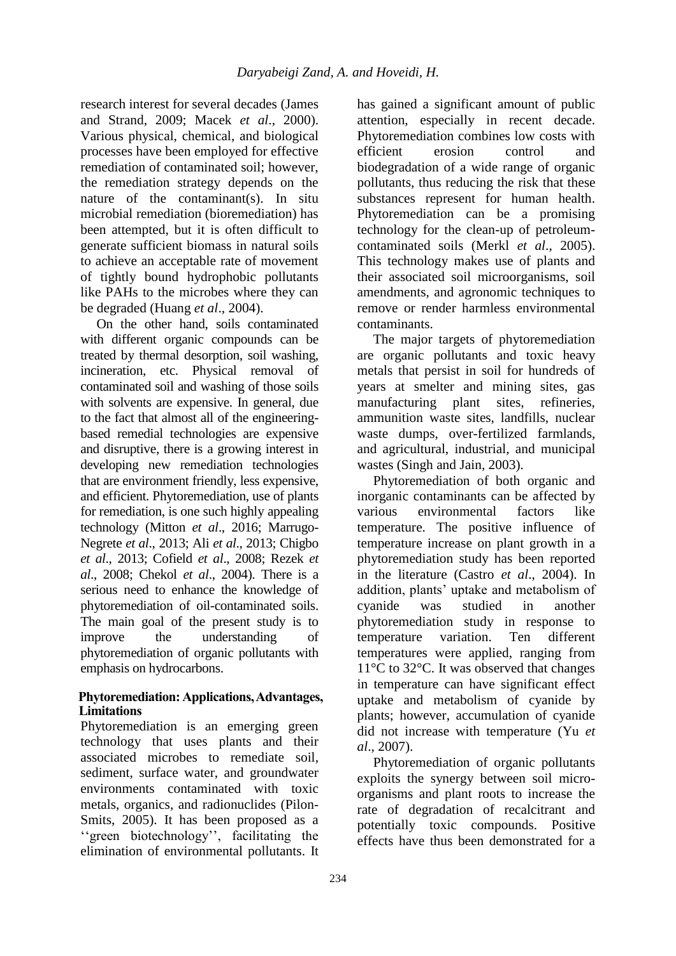research interest for several decades (James and Strand, 2009; Macek *et al*., 2000). Various physical, chemical, and biological processes have been employed for effective remediation of contaminated soil; however, the remediation strategy depends on the nature of the contaminant(s). In situ microbial remediation (bioremediation) has been attempted, but it is often difficult to generate sufficient biomass in natural soils to achieve an acceptable rate of movement of tightly bound hydrophobic pollutants like PAHs to the microbes where they can be degraded (Huang *et al*., 2004).

On the other hand, soils contaminated with different organic compounds can be treated by thermal desorption, soil washing, incineration, etc. Physical removal of contaminated soil and washing of those soils with solvents are expensive. In general, due to the fact that almost all of the engineeringbased remedial technologies are expensive and disruptive, there is a growing interest in developing new remediation technologies that are environment friendly, less expensive, and efficient. Phytoremediation, use of plants for remediation, is one such highly appealing technology (Mitton *et al*., 2016; Marrugo-Negrete *et al*., 2013; Ali *et al*., 2013; Chigbo *et al*., 2013; Cofield *et al*., 2008; Rezek *et al*., 2008; Chekol *et al*., 2004). There is a serious need to enhance the knowledge of phytoremediation of oil-contaminated soils. The main goal of the present study is to improve the understanding of phytoremediation of organic pollutants with emphasis on hydrocarbons.

### **Phytoremediation: Applications, Advantages, Limitations**

Phytoremediation is an emerging green technology that uses plants and their associated microbes to remediate soil, sediment, surface water, and groundwater environments contaminated with toxic metals, organics, and radionuclides (Pilon-Smits, 2005). It has been proposed as a ''green biotechnology'', facilitating the elimination of environmental pollutants. It has gained a significant amount of public attention, especially in recent decade. Phytoremediation combines low costs with efficient erosion control and biodegradation of a wide range of organic pollutants, thus reducing the risk that these substances represent for human health. Phytoremediation can be a promising technology for the clean-up of petroleumcontaminated soils (Merkl *et al*., 2005). This technology makes use of plants and their associated soil microorganisms, soil amendments, and agronomic techniques to remove or render harmless environmental contaminants.

The major targets of phytoremediation are organic pollutants and toxic heavy metals that persist in soil for hundreds of years at smelter and mining sites, gas manufacturing plant sites, refineries, ammunition waste sites, landfills, nuclear waste dumps, over-fertilized farmlands, and agricultural, industrial, and municipal wastes (Singh and Jain, 2003).

Phytoremediation of both organic and inorganic contaminants can be affected by various environmental factors like temperature. The positive influence of temperature increase on plant growth in a phytoremediation study has been reported in the literature (Castro *et al*., 2004). In addition, plants' uptake and metabolism of cyanide was studied in another phytoremediation study in response to temperature variation. Ten different temperatures were applied, ranging from 11°C to 32°C. It was observed that changes in temperature can have significant effect uptake and metabolism of cyanide by plants; however, accumulation of cyanide did not increase with temperature (Yu *et al*., 2007).

Phytoremediation of organic pollutants exploits the synergy between soil microorganisms and plant roots to increase the rate of degradation of recalcitrant and potentially toxic compounds. Positive effects have thus been demonstrated for a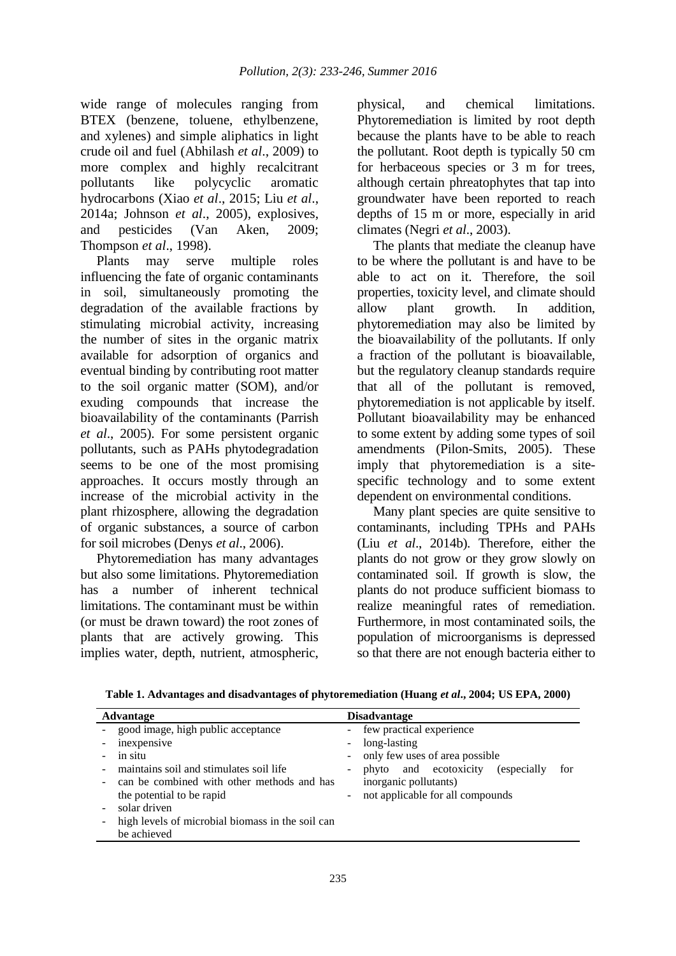wide range of molecules ranging from BTEX (benzene, toluene, ethylbenzene, and xylenes) and simple aliphatics in light crude oil and fuel (Abhilash *et al*., 2009) to more complex and highly recalcitrant pollutants like polycyclic aromatic hydrocarbons (Xiao *et al*., 2015; Liu *et al*., 2014a; Johnson *et al*., 2005), explosives, and pesticides (Van Aken, 2009; Thompson *et al*., 1998).

Plants may serve multiple roles influencing the fate of organic contaminants in soil, simultaneously promoting the degradation of the available fractions by stimulating microbial activity, increasing the number of sites in the organic matrix available for adsorption of organics and eventual binding by contributing root matter to the soil organic matter (SOM), and/or exuding compounds that increase the bioavailability of the contaminants (Parrish *et al*., 2005). For some persistent organic pollutants, such as PAHs phytodegradation seems to be one of the most promising approaches. It occurs mostly through an increase of the microbial activity in the plant rhizosphere, allowing the degradation of organic substances, a source of carbon for soil microbes (Denys *et al*., 2006).

Phytoremediation has many advantages but also some limitations. Phytoremediation has a number of inherent technical limitations. The contaminant must be within (or must be drawn toward) the root zones of plants that are actively growing. This implies water, depth, nutrient, atmospheric,

physical, and chemical limitations. Phytoremediation is limited by root depth because the plants have to be able to reach the pollutant. Root depth is typically 50 cm for herbaceous species or 3 m for trees, although certain phreatophytes that tap into groundwater have been reported to reach depths of 15 m or more, especially in arid climates (Negri *et al*., 2003).

The plants that mediate the cleanup have to be where the pollutant is and have to be able to act on it. Therefore, the soil properties, toxicity level, and climate should allow plant growth. In addition, phytoremediation may also be limited by the bioavailability of the pollutants. If only a fraction of the pollutant is bioavailable, but the regulatory cleanup standards require that all of the pollutant is removed, phytoremediation is not applicable by itself. Pollutant bioavailability may be enhanced to some extent by adding some types of soil amendments (Pilon-Smits, 2005). These imply that phytoremediation is a sitespecific technology and to some extent dependent on environmental conditions.

Many plant species are quite sensitive to contaminants, including TPHs and PAHs (Liu *et al*., 2014b). Therefore, either the plants do not grow or they grow slowly on contaminated soil. If growth is slow, the plants do not produce sufficient biomass to realize meaningful rates of remediation. Furthermore, in most contaminated soils, the population of microorganisms is depressed so that there are not enough bacteria either to

| Advantage                                        | <b>Disadvantage</b>                                |  |  |
|--------------------------------------------------|----------------------------------------------------|--|--|
| - good image, high public acceptance             | - few practical experience                         |  |  |
| inexpensive                                      | long-lasting<br>$\overline{\phantom{a}}$           |  |  |
| in situ                                          | only few uses of area possible                     |  |  |
| maintains soil and stimulates soil life          | phyto and ecotoxicity (especially<br>for<br>-      |  |  |
| can be combined with other methods and has       | inorganic pollutants)                              |  |  |
| the potential to be rapid                        | not applicable for all compounds<br>$\blacksquare$ |  |  |
| solar driven                                     |                                                    |  |  |
| high levels of microbial biomass in the soil can |                                                    |  |  |
| be achieved                                      |                                                    |  |  |

**Table 1. Advantages and disadvantages of phytoremediation (Huang** *et al***., 2004; US EPA, 2000)**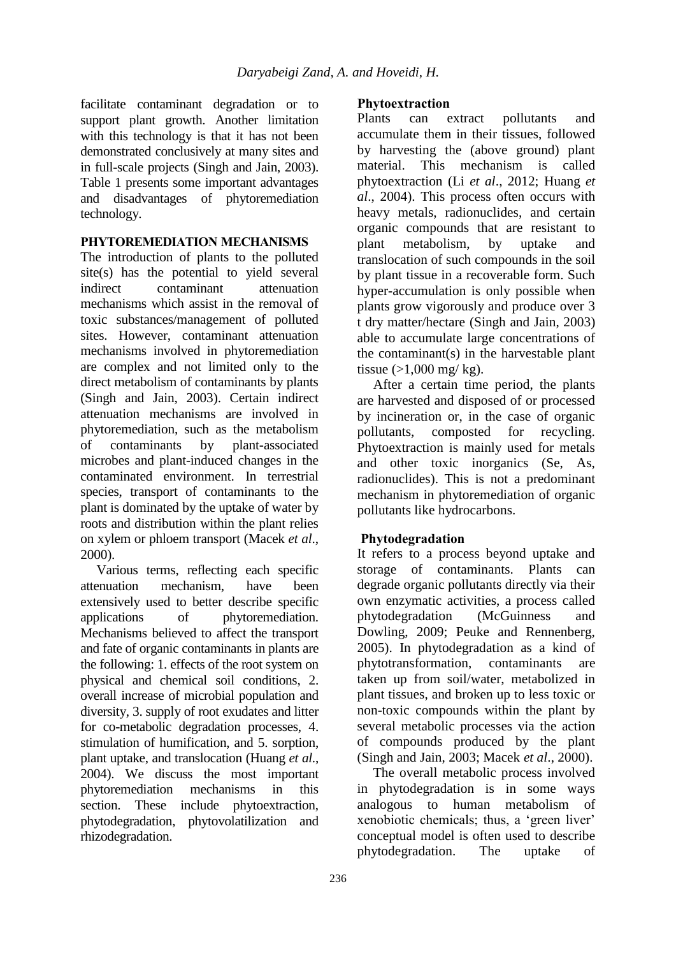facilitate contaminant degradation or to support plant growth. Another limitation with this technology is that it has not been demonstrated conclusively at many sites and in full-scale projects (Singh and Jain, 2003). Table 1 presents some important advantages and disadvantages of phytoremediation technology.

#### **PHYTOREMEDIATION MECHANISMS**

The introduction of plants to the polluted site(s) has the potential to yield several indirect contaminant attenuation mechanisms which assist in the removal of toxic substances/management of polluted sites. However, contaminant attenuation mechanisms involved in phytoremediation are complex and not limited only to the direct metabolism of contaminants by plants (Singh and Jain, 2003). Certain indirect attenuation mechanisms are involved in phytoremediation, such as the metabolism of contaminants by plant-associated microbes and plant-induced changes in the contaminated environment. In terrestrial species, transport of contaminants to the plant is dominated by the uptake of water by roots and distribution within the plant relies on xylem or phloem transport (Macek *et al*., 2000).

Various terms, reflecting each specific attenuation mechanism, have been extensively used to better describe specific applications of phytoremediation. Mechanisms believed to affect the transport and fate of organic contaminants in plants are the following: 1. effects of the root system on physical and chemical soil conditions, 2. overall increase of microbial population and diversity, 3. supply of root exudates and litter for co-metabolic degradation processes, 4. stimulation of humification, and 5. sorption, plant uptake, and translocation (Huang *et al*., 2004). We discuss the most important phytoremediation mechanisms in this section. These include phytoextraction, phytodegradation, phytovolatilization and rhizodegradation.

#### **Phytoextraction**

Plants can extract pollutants and accumulate them in their tissues, followed by harvesting the (above ground) plant material. This mechanism is called phytoextraction (Li *et al*., 2012; Huang *et al*., 2004). This process often occurs with heavy metals, radionuclides, and certain organic compounds that are resistant to plant metabolism, by uptake and translocation of such compounds in the soil by plant tissue in a recoverable form. Such hyper-accumulation is only possible when plants grow vigorously and produce over 3 t dry matter/hectare (Singh and Jain, 2003) able to accumulate large concentrations of the contaminant(s) in the harvestable plant tissue  $(>1,000$  mg/kg).

After a certain time period, the plants are harvested and disposed of or processed by incineration or, in the case of organic pollutants, composted for recycling. Phytoextraction is mainly used for metals and other toxic inorganics (Se, As, radionuclides). This is not a predominant mechanism in phytoremediation of organic pollutants like hydrocarbons.

### **Phytodegradation**

It refers to a process beyond uptake and storage of contaminants. Plants can degrade organic pollutants directly via their own enzymatic activities, a process called phytodegradation (McGuinness and Dowling, 2009; Peuke and Rennenberg, 2005). In phytodegradation as a kind of phytotransformation, contaminants are taken up from soil/water, metabolized in plant tissues, and broken up to less toxic or non-toxic compounds within the plant by several metabolic processes via the action of compounds produced by the plant (Singh and Jain, 2003; Macek *et al*., 2000).

The overall metabolic process involved in phytodegradation is in some ways analogous to human metabolism of xenobiotic chemicals; thus, a 'green liver' conceptual model is often used to describe phytodegradation. The uptake of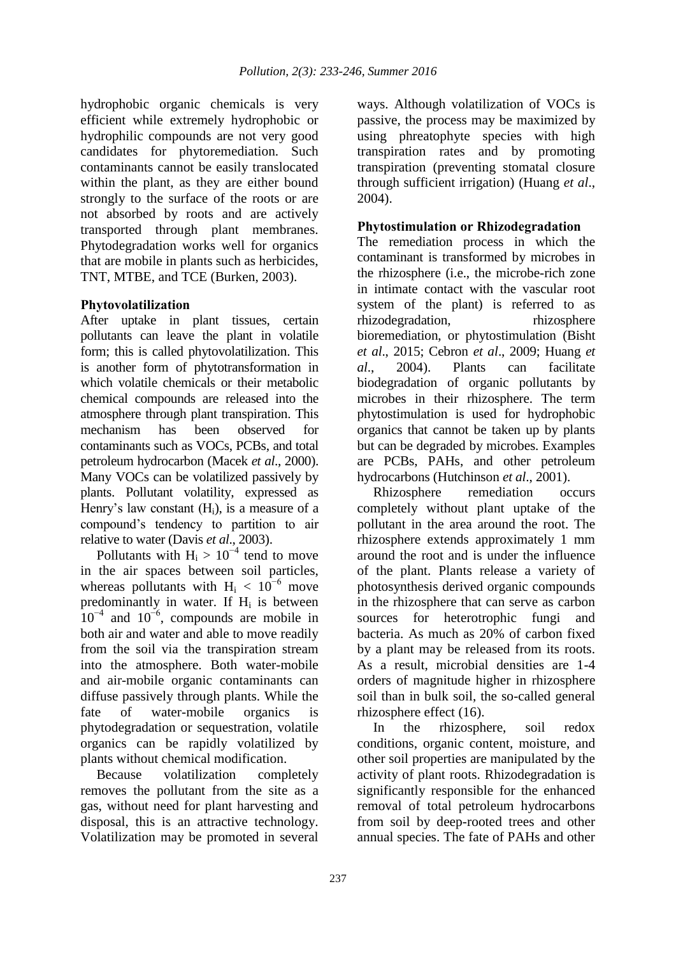hydrophobic organic chemicals is very efficient while extremely hydrophobic or hydrophilic compounds are not very good candidates for phytoremediation. Such contaminants cannot be easily translocated within the plant, as they are either bound strongly to the surface of the roots or are not absorbed by roots and are actively transported through plant membranes. Phytodegradation works well for organics that are mobile in plants such as herbicides, TNT, MTBE, and TCE (Burken, 2003).

### **Phytovolatilization**

After uptake in plant tissues, certain pollutants can leave the plant in volatile form; this is called phytovolatilization. This is another form of phytotransformation in which volatile chemicals or their metabolic chemical compounds are released into the atmosphere through plant transpiration. This mechanism has been observed for contaminants such as VOCs, PCBs, and total petroleum hydrocarbon (Macek *et al*., 2000). Many VOCs can be volatilized passively by plants. Pollutant volatility, expressed as Henry's law constant  $(H_i)$ , is a measure of a compound's tendency to partition to air relative to water (Davis *et al*., 2003).

Pollutants with  $H_i > 10^{-4}$  tend to move in the air spaces between soil particles, whereas pollutants with  $H_i < 10^{-6}$  move predominantly in water. If  $H_i$  is between  $10^{-4}$  and  $10^{-6}$ , compounds are mobile in both air and water and able to move readily from the soil via the transpiration stream into the atmosphere. Both water-mobile and air-mobile organic contaminants can diffuse passively through plants. While the fate of water-mobile organics is phytodegradation or sequestration, volatile organics can be rapidly volatilized by plants without chemical modification.

Because volatilization completely removes the pollutant from the site as a gas, without need for plant harvesting and disposal, this is an attractive technology. Volatilization may be promoted in several

ways. Although volatilization of VOCs is passive, the process may be maximized by using phreatophyte species with high transpiration rates and by promoting transpiration (preventing stomatal closure through sufficient irrigation) (Huang *et al*., 2004).

### **Phytostimulation or Rhizodegradation**

The remediation process in which the contaminant is transformed by microbes in the rhizosphere (i.e., the microbe-rich zone in intimate contact with the vascular root system of the plant) is referred to as rhizodegradation, rhizosphere bioremediation, or phytostimulation (Bisht *et al*., 2015; Cebron *et al*., 2009; Huang *et al*., 2004). Plants can facilitate biodegradation of organic pollutants by microbes in their rhizosphere. The term phytostimulation is used for hydrophobic organics that cannot be taken up by plants but can be degraded by microbes. Examples are PCBs, PAHs, and other petroleum hydrocarbons (Hutchinson *et al*., 2001).

Rhizosphere remediation occurs completely without plant uptake of the pollutant in the area around the root. The rhizosphere extends approximately 1 mm around the root and is under the influence of the plant. Plants release a variety of photosynthesis derived organic compounds in the rhizosphere that can serve as carbon sources for heterotrophic fungi and bacteria. As much as 20% of carbon fixed by a plant may be released from its roots. As a result, microbial densities are 1-4 orders of magnitude higher in rhizosphere soil than in bulk soil, the so-called general rhizosphere effect (16).

In the rhizosphere, soil redox conditions, organic content, moisture, and other soil properties are manipulated by the activity of plant roots. Rhizodegradation is significantly responsible for the enhanced removal of total petroleum hydrocarbons from soil by deep-rooted trees and other annual species. The fate of PAHs and other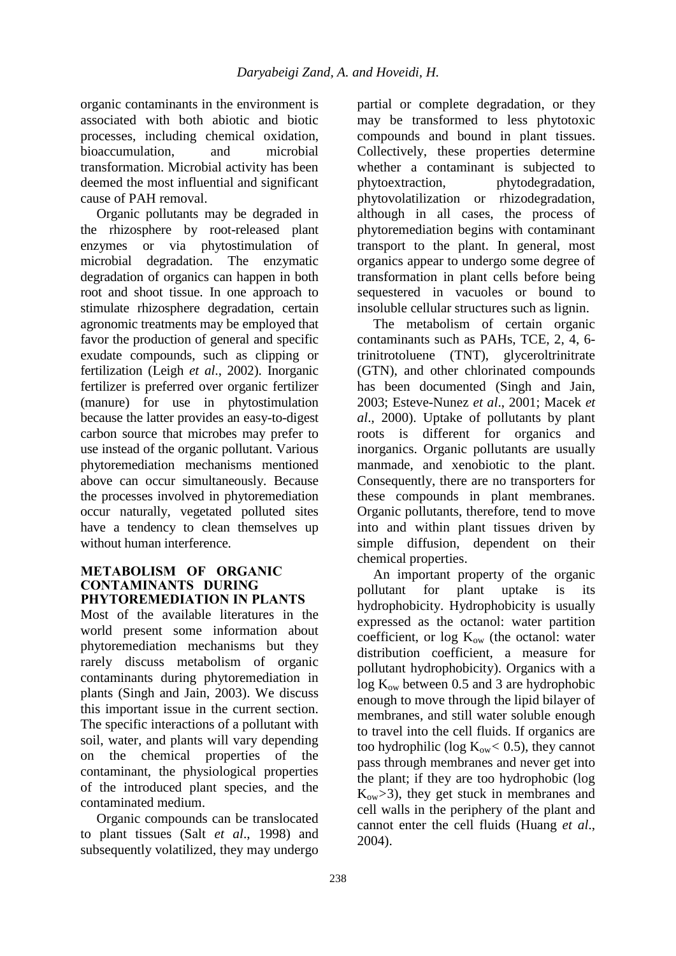organic contaminants in the environment is associated with both abiotic and biotic processes, including chemical oxidation, bioaccumulation, and microbial transformation. Microbial activity has been deemed the most influential and significant cause of PAH removal.

Organic pollutants may be degraded in the rhizosphere by root-released plant enzymes or via phytostimulation of microbial degradation. The enzymatic degradation of organics can happen in both root and shoot tissue. In one approach to stimulate rhizosphere degradation, certain agronomic treatments may be employed that favor the production of general and specific exudate compounds, such as clipping or fertilization (Leigh *et al*., 2002). Inorganic fertilizer is preferred over organic fertilizer (manure) for use in phytostimulation because the latter provides an easy-to-digest carbon source that microbes may prefer to use instead of the organic pollutant. Various phytoremediation mechanisms mentioned above can occur simultaneously. Because the processes involved in phytoremediation occur naturally, vegetated polluted sites have a tendency to clean themselves up without human interference.

#### **METABOLISM OF ORGANIC CONTAMINANTS DURING PHYTOREMEDIATION IN PLANTS**

Most of the available literatures in the world present some information about phytoremediation mechanisms but they rarely discuss metabolism of organic contaminants during phytoremediation in plants (Singh and Jain, 2003). We discuss this important issue in the current section. The specific interactions of a pollutant with soil, water, and plants will vary depending on the chemical properties of the contaminant, the physiological properties of the introduced plant species, and the contaminated medium.

Organic compounds can be translocated to plant tissues (Salt *et al*., 1998) and subsequently volatilized, they may undergo

partial or complete degradation, or they may be transformed to less phytotoxic compounds and bound in plant tissues. Collectively, these properties determine whether a contaminant is subjected to phytoextraction, phytodegradation, phytovolatilization or rhizodegradation, although in all cases, the process of phytoremediation begins with contaminant transport to the plant. In general, most organics appear to undergo some degree of transformation in plant cells before being sequestered in vacuoles or bound to insoluble cellular structures such as lignin.

The metabolism of certain organic contaminants such as PAHs, TCE, 2, 4, 6 trinitrotoluene (TNT), glyceroltrinitrate (GTN), and other chlorinated compounds has been documented (Singh and Jain, 2003; Esteve-Nunez *et al*., 2001; Macek *et al*., 2000). Uptake of pollutants by plant roots is different for organics and inorganics. Organic pollutants are usually manmade, and xenobiotic to the plant. Consequently, there are no transporters for these compounds in plant membranes. Organic pollutants, therefore, tend to move into and within plant tissues driven by simple diffusion, dependent on their chemical properties.

An important property of the organic pollutant for plant uptake is its hydrophobicity. Hydrophobicity is usually expressed as the octanol: water partition coefficient, or  $log K_{ow}$  (the octanol: water distribution coefficient, a measure for pollutant hydrophobicity). Organics with a  $log K<sub>ow</sub>$  between 0.5 and 3 are hydrophobic enough to move through the lipid bilayer of membranes, and still water soluble enough to travel into the cell fluids. If organics are too hydrophilic (log  $K_{ow}$  < 0.5), they cannot pass through membranes and never get into the plant; if they are too hydrophobic (log Kow*>*3), they get stuck in membranes and cell walls in the periphery of the plant and cannot enter the cell fluids (Huang *et al*., 2004).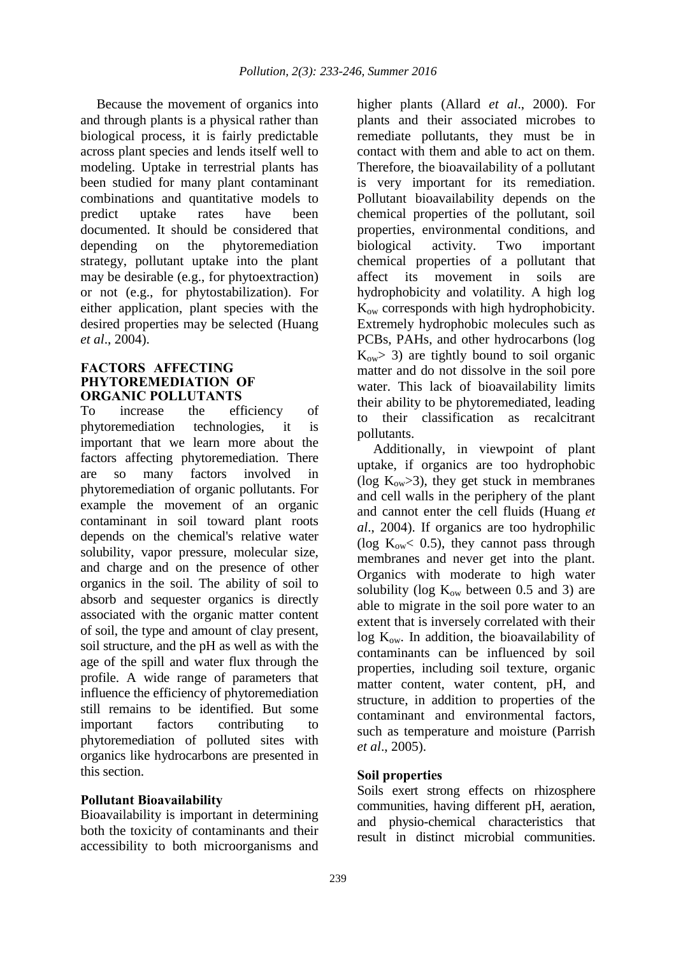Because the movement of organics into and through plants is a physical rather than biological process, it is fairly predictable across plant species and lends itself well to modeling. Uptake in terrestrial plants has been studied for many plant contaminant combinations and quantitative models to predict uptake rates have been documented. It should be considered that depending on the phytoremediation strategy, pollutant uptake into the plant may be desirable (e.g., for phytoextraction) or not (e.g., for phytostabilization). For either application, plant species with the desired properties may be selected (Huang *et al*., 2004).

#### **FACTORS AFFECTING PHYTOREMEDIATION OF ORGANIC POLLUTANTS**

To increase the efficiency of phytoremediation technologies, it is important that we learn more about the factors affecting phytoremediation. There are so many factors involved in phytoremediation of organic pollutants. For example the movement of an organic contaminant in soil toward plant roots depends on the chemical's relative water solubility, vapor pressure, molecular size, and charge and on the presence of other organics in the soil. The ability of soil to absorb and sequester organics is directly associated with the organic matter content of soil, the type and amount of clay present, soil structure, and the pH as well as with the age of the spill and water flux through the profile. A wide range of parameters that influence the efficiency of phytoremediation still remains to be identified. But some important factors contributing to phytoremediation of polluted sites with organics like hydrocarbons are presented in this section.

### **Pollutant Bioavailability**

Bioavailability is important in determining both the toxicity of contaminants and their accessibility to both microorganisms and higher plants (Allard *et al*., 2000). For plants and their associated microbes to remediate pollutants, they must be in contact with them and able to act on them. Therefore, the bioavailability of a pollutant is very important for its remediation. Pollutant bioavailability depends on the chemical properties of the pollutant, soil properties, environmental conditions, and biological activity. Two important chemical properties of a pollutant that affect its movement in soils are hydrophobicity and volatility. A high log Kow corresponds with high hydrophobicity. Extremely hydrophobic molecules such as PCBs, PAHs, and other hydrocarbons (log  $K_{ow}$  3) are tightly bound to soil organic matter and do not dissolve in the soil pore water. This lack of bioavailability limits their ability to be phytoremediated, leading to their classification as recalcitrant pollutants.

Additionally, in viewpoint of plant uptake, if organics are too hydrophobic (log  $K_{ow} > 3$ ), they get stuck in membranes and cell walls in the periphery of the plant and cannot enter the cell fluids (Huang *et al*., 2004). If organics are too hydrophilic (log  $K_{ow}$ < 0.5), they cannot pass through membranes and never get into the plant. Organics with moderate to high water solubility (log  $K_{ow}$  between 0.5 and 3) are able to migrate in the soil pore water to an extent that is inversely correlated with their  $\log K_{ow}$ . In addition, the bioavailability of contaminants can be influenced by soil properties, including soil texture, organic matter content, water content, pH, and structure, in addition to properties of the contaminant and environmental factors, such as temperature and moisture (Parrish *et al*., 2005).

#### **Soil properties**

Soils exert strong effects on rhizosphere communities, having different pH, aeration, and physio-chemical characteristics that result in distinct microbial communities.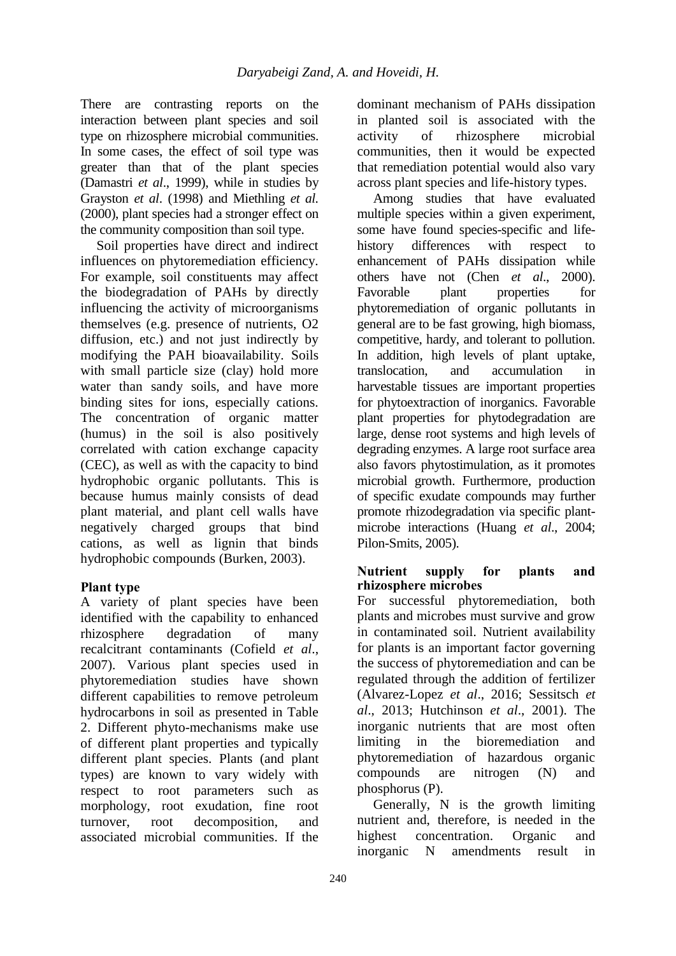There are contrasting reports on the interaction between plant species and soil type on rhizosphere microbial communities. In some cases, the effect of soil type was greater than that of the plant species (Damastri *et al*., 1999), while in studies by Grayston *et al*. (1998) and Miethling *et al.* (2000), plant species had a stronger effect on the community composition than soil type.

Soil properties have direct and indirect influences on phytoremediation efficiency. For example, soil constituents may affect the biodegradation of PAHs by directly influencing the activity of microorganisms themselves (e.g. presence of nutrients, O2 diffusion, etc.) and not just indirectly by modifying the PAH bioavailability. Soils with small particle size (clay) hold more water than sandy soils, and have more binding sites for ions, especially cations. The concentration of organic matter (humus) in the soil is also positively correlated with cation exchange capacity (CEC), as well as with the capacity to bind hydrophobic organic pollutants. This is because humus mainly consists of dead plant material, and plant cell walls have negatively charged groups that bind cations, as well as lignin that binds hydrophobic compounds (Burken, 2003).

# **Plant type**

A variety of plant species have been identified with the capability to enhanced rhizosphere degradation of many recalcitrant contaminants (Cofield *et al*., 2007). Various plant species used in phytoremediation studies have shown different capabilities to remove petroleum hydrocarbons in soil as presented in Table 2. Different phyto-mechanisms make use of different plant properties and typically different plant species. Plants (and plant types) are known to vary widely with respect to root parameters such as morphology, root exudation, fine root turnover, root decomposition, and associated microbial communities. If the

dominant mechanism of PAHs dissipation in planted soil is associated with the activity of rhizosphere microbial communities, then it would be expected that remediation potential would also vary across plant species and life-history types.

Among studies that have evaluated multiple species within a given experiment, some have found species-specific and lifehistory differences with respect to enhancement of PAHs dissipation while others have not (Chen *et al*., 2000). Favorable plant properties for phytoremediation of organic pollutants in general are to be fast growing, high biomass, competitive, hardy, and tolerant to pollution. In addition, high levels of plant uptake, translocation, and accumulation in harvestable tissues are important properties for phytoextraction of inorganics. Favorable plant properties for phytodegradation are large, dense root systems and high levels of degrading enzymes. A large root surface area also favors phytostimulation, as it promotes microbial growth. Furthermore, production of specific exudate compounds may further promote rhizodegradation via specific plantmicrobe interactions (Huang *et al*., 2004; Pilon-Smits, 2005).

### **Nutrient supply for plants and rhizosphere microbes**

For successful phytoremediation, both plants and microbes must survive and grow in contaminated soil. Nutrient availability for plants is an important factor governing the success of phytoremediation and can be regulated through the addition of fertilizer (Alvarez-Lopez *et al*., 2016; Sessitsch *et al*., 2013; Hutchinson *et al*., 2001). The inorganic nutrients that are most often limiting in the bioremediation and phytoremediation of hazardous organic compounds are nitrogen (N) and phosphorus (P).

Generally, N is the growth limiting nutrient and, therefore, is needed in the highest concentration. Organic and inorganic N amendments result in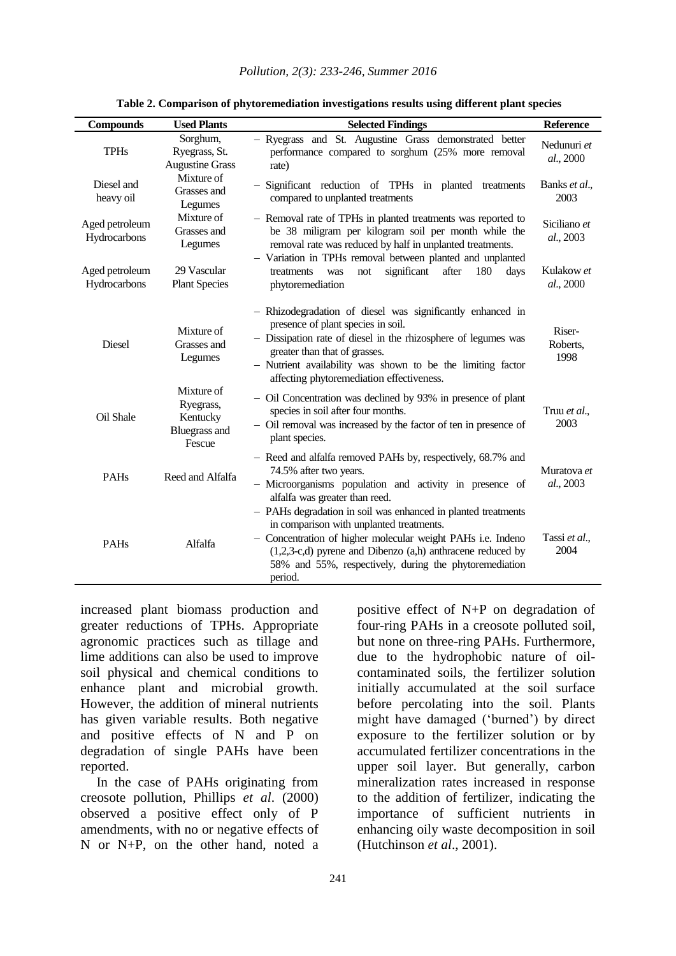*Pollution, 2(3): 233-246, Summer 2016*

| <b>Compounds</b>               | <b>Used Plants</b>                                                    | <b>Selected Findings</b>                                                                                                                                                                                                                                                                                        | <b>Reference</b>           |
|--------------------------------|-----------------------------------------------------------------------|-----------------------------------------------------------------------------------------------------------------------------------------------------------------------------------------------------------------------------------------------------------------------------------------------------------------|----------------------------|
| <b>TPHs</b>                    | Sorghum,<br>Ryegrass, St.<br><b>Augustine Grass</b>                   | - Ryegrass and St. Augustine Grass demonstrated better<br>performance compared to sorghum (25% more removal<br>rate)                                                                                                                                                                                            | Nedunuri et<br>al., 2000   |
| Diesel and<br>heavy oil        | Mixture of<br>Grasses and<br>Legumes                                  | - Significant reduction of TPHs in planted treatments<br>compared to unplanted treatments                                                                                                                                                                                                                       | Banks et al.,<br>2003      |
| Aged petroleum<br>Hydrocarbons | Mixture of<br>Grasses and<br>Legumes                                  | - Removal rate of TPHs in planted treatments was reported to<br>be 38 miligram per kilogram soil per month while the<br>removal rate was reduced by half in unplanted treatments.                                                                                                                               | Siciliano et<br>al., 2003  |
| Aged petroleum<br>Hydrocarbons | 29 Vascular<br><b>Plant Species</b>                                   | - Variation in TPHs removal between planted and unplanted<br>significant<br>after<br>treatments<br>180<br>was<br>not<br>days<br>phytoremediation                                                                                                                                                                | Kulakow et<br>al., 2000    |
| Diesel                         | Mixture of<br>Grasses and<br>Legumes                                  | - Rhizodegradation of diesel was significantly enhanced in<br>presence of plant species in soil.<br>- Dissipation rate of diesel in the rhizosphere of legumes was<br>greater than that of grasses.<br>- Nutrient availability was shown to be the limiting factor<br>affecting phytoremediation effectiveness. | Riser-<br>Roberts,<br>1998 |
| Oil Shale                      | Mixture of<br>Ryegrass,<br>Kentucky<br><b>Bluegrass and</b><br>Fescue | - Oil Concentration was declined by 93% in presence of plant<br>species in soil after four months.<br>- Oil removal was increased by the factor of ten in presence of<br>plant species.                                                                                                                         | Truu et al.,<br>2003       |
| <b>PAHs</b>                    | Reed and Alfalfa                                                      | - Reed and alfalfa removed PAHs by, respectively, 68.7% and<br>74.5% after two years.<br>- Microorganisms population and activity in presence of<br>alfalfa was greater than reed.                                                                                                                              | Muratova et<br>al., 2003   |
| <b>PAHs</b>                    | Alfalfa                                                               | - PAHs degradation in soil was enhanced in planted treatments<br>in comparison with unplanted treatments.<br>- Concentration of higher molecular weight PAHs i.e. Indeno<br>$(1,2,3-c,d)$ pyrene and Dibenzo $(a,h)$ anthracene reduced by<br>58% and 55%, respectively, during the phytoremediation<br>period. | Tassi et al.,<br>2004      |

**Table 2. Comparison of phytoremediation investigations results using different plant species**

increased plant biomass production and greater reductions of TPHs. Appropriate agronomic practices such as tillage and lime additions can also be used to improve soil physical and chemical conditions to enhance plant and microbial growth. However, the addition of mineral nutrients has given variable results. Both negative and positive effects of N and P on degradation of single PAHs have been reported.

In the case of PAHs originating from creosote pollution, Phillips *et al*. (2000) observed a positive effect only of P amendments, with no or negative effects of N or N+P, on the other hand, noted a

positive effect of N+P on degradation of four-ring PAHs in a creosote polluted soil, but none on three-ring PAHs. Furthermore, due to the hydrophobic nature of oilcontaminated soils, the fertilizer solution initially accumulated at the soil surface before percolating into the soil. Plants might have damaged ('burned') by direct exposure to the fertilizer solution or by accumulated fertilizer concentrations in the upper soil layer. But generally, carbon mineralization rates increased in response to the addition of fertilizer, indicating the importance of sufficient nutrients in enhancing oily waste decomposition in soil (Hutchinson *et al*., 2001).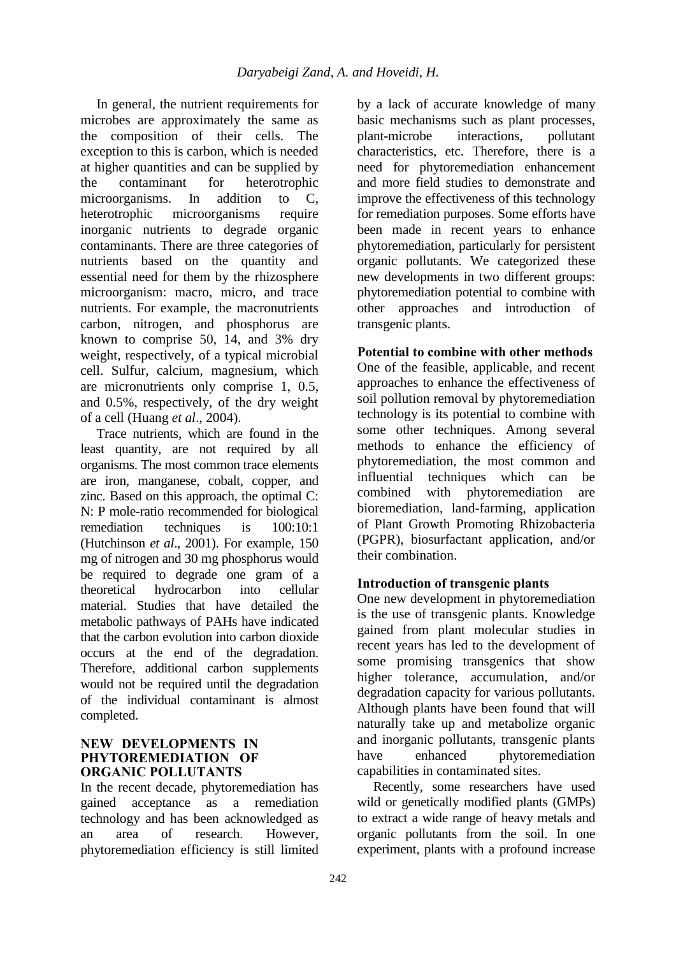In general, the nutrient requirements for microbes are approximately the same as the composition of their cells. The exception to this is carbon, which is needed at higher quantities and can be supplied by the contaminant for heterotrophic microorganisms. In addition to C, heterotrophic microorganisms require inorganic nutrients to degrade organic contaminants. There are three categories of nutrients based on the quantity and essential need for them by the rhizosphere microorganism: macro, micro, and trace nutrients. For example, the macronutrients carbon, nitrogen, and phosphorus are known to comprise 50, 14, and 3% dry weight, respectively, of a typical microbial cell. Sulfur, calcium, magnesium, which are micronutrients only comprise 1, 0.5, and 0.5%, respectively, of the dry weight of a cell (Huang *et al*., 2004).

Trace nutrients, which are found in the least quantity, are not required by all organisms. The most common trace elements are iron, manganese, cobalt, copper, and zinc. Based on this approach, the optimal C: N: P mole-ratio recommended for biological remediation techniques is 100:10:1 (Hutchinson *et al*., 2001). For example, 150 mg of nitrogen and 30 mg phosphorus would be required to degrade one gram of a theoretical hydrocarbon into cellular material. Studies that have detailed the metabolic pathways of PAHs have indicated that the carbon evolution into carbon dioxide occurs at the end of the degradation. Therefore, additional carbon supplements would not be required until the degradation of the individual contaminant is almost completed.

### **NEW DEVELOPMENTS IN PHYTOREMEDIATION OF ORGANIC POLLUTANTS**

In the recent decade, phytoremediation has gained acceptance as a remediation technology and has been acknowledged as an area of research. However, phytoremediation efficiency is still limited by a lack of accurate knowledge of many basic mechanisms such as plant processes, plant-microbe interactions, pollutant characteristics, etc. Therefore, there is a need for phytoremediation enhancement and more field studies to demonstrate and improve the effectiveness of this technology for remediation purposes. Some efforts have been made in recent years to enhance phytoremediation, particularly for persistent organic pollutants. We categorized these new developments in two different groups: phytoremediation potential to combine with other approaches and introduction of transgenic plants.

# **Potential to combine with other methods**

One of the feasible, applicable, and recent approaches to enhance the effectiveness of soil pollution removal by phytoremediation technology is its potential to combine with some other techniques. Among several methods to enhance the efficiency of phytoremediation, the most common and influential techniques which can be combined with phytoremediation are bioremediation, land-farming, application of Plant Growth Promoting Rhizobacteria (PGPR), biosurfactant application, and/or their combination.

### **Introduction of transgenic plants**

One new development in phytoremediation is the use of transgenic plants. Knowledge gained from plant molecular studies in recent years has led to the development of some promising transgenics that show higher tolerance, accumulation, and/or degradation capacity for various pollutants. Although plants have been found that will naturally take up and metabolize organic and inorganic pollutants, transgenic plants have enhanced phytoremediation capabilities in contaminated sites.

Recently, some researchers have used wild or genetically modified plants (GMPs) to extract a wide range of heavy metals and organic pollutants from the soil. In one experiment, plants with a profound increase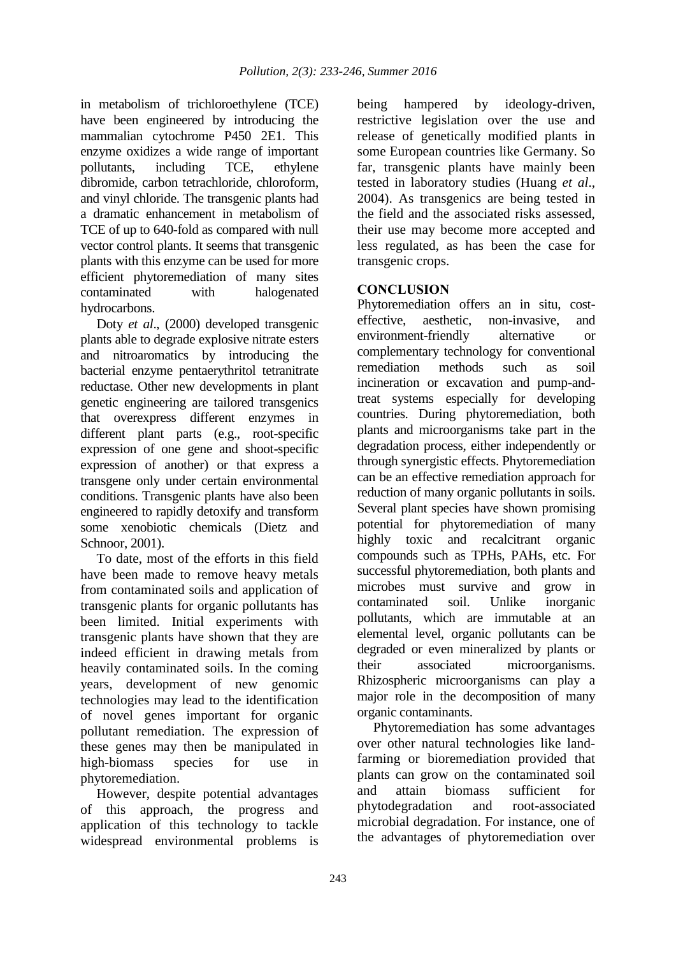in metabolism of trichloroethylene (TCE) have been engineered by introducing the mammalian cytochrome P450 2E1. This enzyme oxidizes a wide range of important pollutants, including TCE, ethylene dibromide, carbon tetrachloride, chloroform, and vinyl chloride. The transgenic plants had a dramatic enhancement in metabolism of TCE of up to 640-fold as compared with null vector control plants. It seems that transgenic plants with this enzyme can be used for more efficient phytoremediation of many sites contaminated with halogenated hydrocarbons.

Doty *et al*., (2000) developed transgenic plants able to degrade explosive nitrate esters and nitroaromatics by introducing the bacterial enzyme pentaerythritol tetranitrate reductase. Other new developments in plant genetic engineering are tailored transgenics that overexpress different enzymes in different plant parts (e.g., root-specific expression of one gene and shoot-specific expression of another) or that express a transgene only under certain environmental conditions. Transgenic plants have also been engineered to rapidly detoxify and transform some xenobiotic chemicals (Dietz and Schnoor, 2001).

To date, most of the efforts in this field have been made to remove heavy metals from contaminated soils and application of transgenic plants for organic pollutants has been limited. Initial experiments with transgenic plants have shown that they are indeed efficient in drawing metals from heavily contaminated soils. In the coming years, development of new genomic technologies may lead to the identification of novel genes important for organic pollutant remediation. The expression of these genes may then be manipulated in high-biomass species for use in phytoremediation.

However, despite potential advantages of this approach, the progress and application of this technology to tackle widespread environmental problems is being hampered by ideology-driven, restrictive legislation over the use and release of genetically modified plants in some European countries like Germany. So far, transgenic plants have mainly been tested in laboratory studies (Huang *et al*., 2004). As transgenics are being tested in the field and the associated risks assessed, their use may become more accepted and less regulated, as has been the case for transgenic crops.

# **CONCLUSION**

Phytoremediation offers an in situ, costeffective, aesthetic, non-invasive, and environment-friendly alternative or complementary technology for conventional remediation methods such as soil incineration or excavation and pump-andtreat systems especially for developing countries. During phytoremediation, both plants and microorganisms take part in the degradation process, either independently or through synergistic effects. Phytoremediation can be an effective remediation approach for reduction of many organic pollutants in soils. Several plant species have shown promising potential for phytoremediation of many highly toxic and recalcitrant organic compounds such as TPHs, PAHs, etc. For successful phytoremediation, both plants and microbes must survive and grow in contaminated soil. Unlike inorganic pollutants, which are immutable at an elemental level, organic pollutants can be degraded or even mineralized by plants or their associated microorganisms. Rhizospheric microorganisms can play a major role in the decomposition of many organic contaminants.

Phytoremediation has some advantages over other natural technologies like landfarming or bioremediation provided that plants can grow on the contaminated soil and attain biomass sufficient for phytodegradation and root-associated microbial degradation. For instance, one of the advantages of phytoremediation over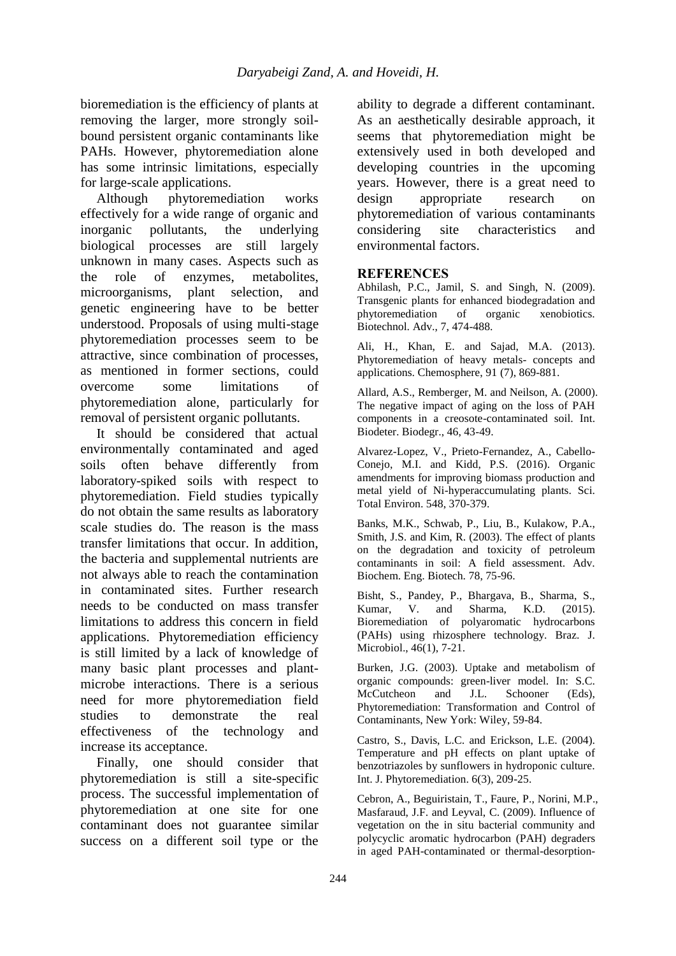bioremediation is the efficiency of plants at removing the larger, more strongly soilbound persistent organic contaminants like PAHs. However, phytoremediation alone has some intrinsic limitations, especially for large-scale applications.

Although phytoremediation works effectively for a wide range of organic and inorganic pollutants, the underlying biological processes are still largely unknown in many cases. Aspects such as the role of enzymes, metabolites, microorganisms, plant selection, and genetic engineering have to be better understood. Proposals of using multi-stage phytoremediation processes seem to be attractive, since combination of processes, as mentioned in former sections, could overcome some limitations of phytoremediation alone, particularly for removal of persistent organic pollutants.

It should be considered that actual environmentally contaminated and aged soils often behave differently from laboratory-spiked soils with respect to phytoremediation. Field studies typically do not obtain the same results as laboratory scale studies do. The reason is the mass transfer limitations that occur. In addition, the bacteria and supplemental nutrients are not always able to reach the contamination in contaminated sites. Further research needs to be conducted on mass transfer limitations to address this concern in field applications. Phytoremediation efficiency is still limited by a lack of knowledge of many basic plant processes and plantmicrobe interactions. There is a serious need for more phytoremediation field studies to demonstrate the real effectiveness of the technology and increase its acceptance.

Finally, one should consider that phytoremediation is still a site-specific process. The successful implementation of phytoremediation at one site for one contaminant does not guarantee similar success on a different soil type or the

ability to degrade a different contaminant. As an aesthetically desirable approach, it seems that phytoremediation might be extensively used in both developed and developing countries in the upcoming years. However, there is a great need to design appropriate research on phytoremediation of various contaminants considering site characteristics and environmental factors.

### **REFERENCES**

Abhilash, P.C., Jamil, S. and Singh, N. (2009). Transgenic plants for enhanced biodegradation and phytoremediation of organic xenobiotics. Biotechnol. Adv., 7, 474-488.

Ali, H., Khan, E. and Sajad, M.A. (2013). Phytoremediation of heavy metals- concepts and applications. Chemosphere, 91 (7), 869-881.

Allard, A.S., Remberger, M. and Neilson, A. (2000). The negative impact of aging on the loss of PAH components in a creosote-contaminated soil. Int. Biodeter. Biodegr., 46, 43-49.

Alvarez-Lopez, V., Prieto-Fernandez, A., Cabello-Conejo, M.I. and Kidd, P.S. (2016). Organic amendments for improving biomass production and metal yield of Ni-hyperaccumulating plants. Sci. Total Environ. 548, 370-379.

Banks, M.K., Schwab, P., Liu, B., Kulakow, P.A., Smith, J.S. and Kim, R. (2003). The effect of plants on the degradation and toxicity of petroleum contaminants in soil: A field assessment. Adv. Biochem. Eng. Biotech. 78, 75-96.

Bisht, S., Pandey, P., Bhargava, B., Sharma, S., Kumar, V. and Sharma, K.D. (2015). Bioremediation of polyaromatic hydrocarbons (PAHs) using rhizosphere technology. Braz. J. Microbiol., 46(1), 7-21.

Burken, J.G. (2003). Uptake and metabolism of organic compounds: green-liver model. In: S.C. McCutcheon and J.L. Schooner (Eds), Phytoremediation: Transformation and Control of Contaminants, New York: Wiley, 59-84.

Castro, S., Davis, L.C. and Erickson, L.E. (2004). Temperature and pH effects on plant uptake of benzotriazoles by sunflowers in hydroponic culture. Int. J. Phytoremediation. 6(3), 209-25.

Cebron, A., Beguiristain, T., Faure, P., Norini, M.P., Masfaraud, J.F. and Leyval, C. (2009). Influence of vegetation on the in situ bacterial community and polycyclic aromatic hydrocarbon (PAH) degraders in aged PAH-contaminated or thermal-desorption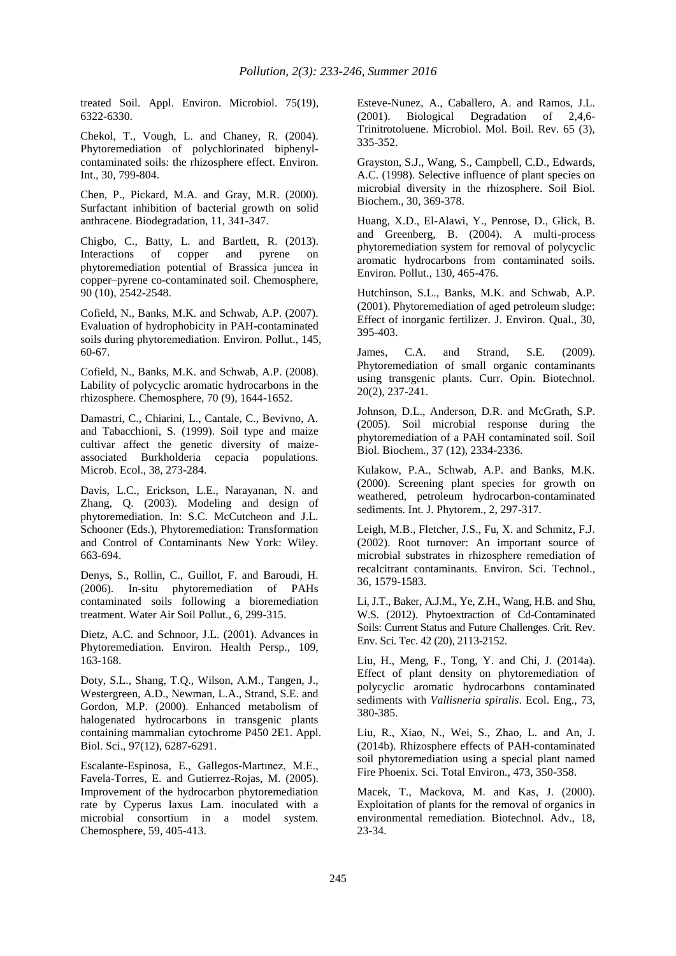treated Soil. Appl. Environ. Microbiol. 75(19), 6322-6330.

Chekol, T., Vough, L. and Chaney, R. (2004). Phytoremediation of polychlorinated biphenylcontaminated soils: the rhizosphere effect. Environ. Int., 30, 799-804.

Chen, P., Pickard, M.A. and Gray, M.R. (2000). Surfactant inhibition of bacterial growth on solid anthracene. Biodegradation, 11, 341-347.

Chigbo, C., Batty, L. and Bartlett, R. (2013). Interactions of copper and pyrene on phytoremediation potential of Brassica juncea in copper–pyrene co-contaminated soil. Chemosphere, 90 (10), 2542-2548.

Cofield, N., Banks, M.K. and Schwab, A.P. (2007). Evaluation of hydrophobicity in PAH-contaminated soils during phytoremediation. Environ. Pollut., 145, 60-67.

Cofield, N., Banks, M.K. and Schwab, A.P. (2008). Lability of polycyclic aromatic hydrocarbons in the rhizosphere. Chemosphere, 70 (9), 1644-1652.

Damastri, C., Chiarini, L., Cantale, C., Bevivno, A. and Tabacchioni, S. (1999). Soil type and maize cultivar affect the genetic diversity of maizeassociated Burkholderia cepacia populations. Microb. Ecol., 38, 273-284.

Davis, L.C., Erickson, L.E., Narayanan, N. and Zhang, Q. (2003). Modeling and design of phytoremediation. In: S.C. McCutcheon and J.L. Schooner (Eds.), Phytoremediation: Transformation and Control of Contaminants New York: Wiley. 663-694.

Denys, S., Rollin, C., Guillot, F. and Baroudi, H. (2006). In-situ phytoremediation of PAHs contaminated soils following a bioremediation treatment. Water Air Soil Pollut., 6, 299-315.

Dietz, A.C. and Schnoor, J.L. (2001). Advances in Phytoremediation. Environ. Health Persp., 109, 163-168.

Doty, S.L., Shang, T.Q., Wilson, A.M., Tangen, J., Westergreen, A.D., Newman, L.A., Strand, S.E. and Gordon, M.P. (2000). Enhanced metabolism of halogenated hydrocarbons in transgenic plants containing mammalian cytochrome P450 2E1. Appl. Biol. Sci., 97(12), 6287-6291.

Escalante-Espinosa, E., Gallegos-Martınez, M.E., Favela-Torres, E. and Gutierrez-Rojas, M. (2005). Improvement of the hydrocarbon phytoremediation rate by Cyperus laxus Lam. inoculated with a microbial consortium in a model system. Chemosphere, 59, 405-413.

Esteve-Nunez, A., Caballero, A. and Ramos, J.L. (2001). Biological Degradation of 2,4,6- Trinitrotoluene. Microbiol. Mol. Boil. Rev. 65 (3), 335-352.

Grayston, S.J., Wang, S., Campbell, C.D., Edwards, A.C. (1998). Selective influence of plant species on microbial diversity in the rhizosphere. Soil Biol. Biochem., 30, 369-378.

Huang, X.D., El-Alawi, Y., Penrose, D., Glick, B. and Greenberg, B. (2004). A multi-process phytoremediation system for removal of polycyclic aromatic hydrocarbons from contaminated soils. Environ. Pollut., 130, 465-476.

Hutchinson, S.L., Banks, M.K. and Schwab, A.P. (2001). Phytoremediation of aged petroleum sludge: Effect of inorganic fertilizer. J. Environ. Qual., 30, 395-403.

James, C.A. and Strand, S.E. (2009). Phytoremediation of small organic contaminants using transgenic plants. Curr. Opin. Biotechnol. 20(2), 237-241.

Johnson, D.L., Anderson, D.R. and McGrath, S.P. (2005). Soil microbial response during the phytoremediation of a PAH contaminated soil. Soil Biol. Biochem., 37 (12), 2334-2336.

Kulakow, P.A., Schwab, A.P. and Banks, M.K. (2000). Screening plant species for growth on weathered, petroleum hydrocarbon-contaminated sediments. Int. J. Phytorem., 2, 297-317.

Leigh, M.B., Fletcher, J.S., Fu, X. and Schmitz, F.J. (2002). Root turnover: An important source of microbial substrates in rhizosphere remediation of recalcitrant contaminants. Environ. Sci. Technol., 36, 1579-1583.

Li, J.T., Baker, A.J.M., Ye, Z.H., Wang, H.B. and Shu, W.S. (2012). Phytoextraction of Cd-Contaminated Soils: Current Status and Future Challenges. Crit. Rev. Env. Sci. Tec. 42 (20), 2113-2152.

Liu, H., Meng, F., Tong, Y. and Chi, J. (2014a). Effect of plant density on phytoremediation of polycyclic aromatic hydrocarbons contaminated sediments with *Vallisneria spiralis*. Ecol. Eng., 73, 380-385.

Liu, R., Xiao, N., Wei, S., Zhao, L. and An, J. (2014b). Rhizosphere effects of PAH-contaminated soil phytoremediation using a special plant named Fire Phoenix. Sci. Total Environ., 473, 350-358.

Macek, T., Mackova, M. and Kas, J. (2000). Exploitation of plants for the removal of organics in environmental remediation. Biotechnol. Adv., 18, 23-34.